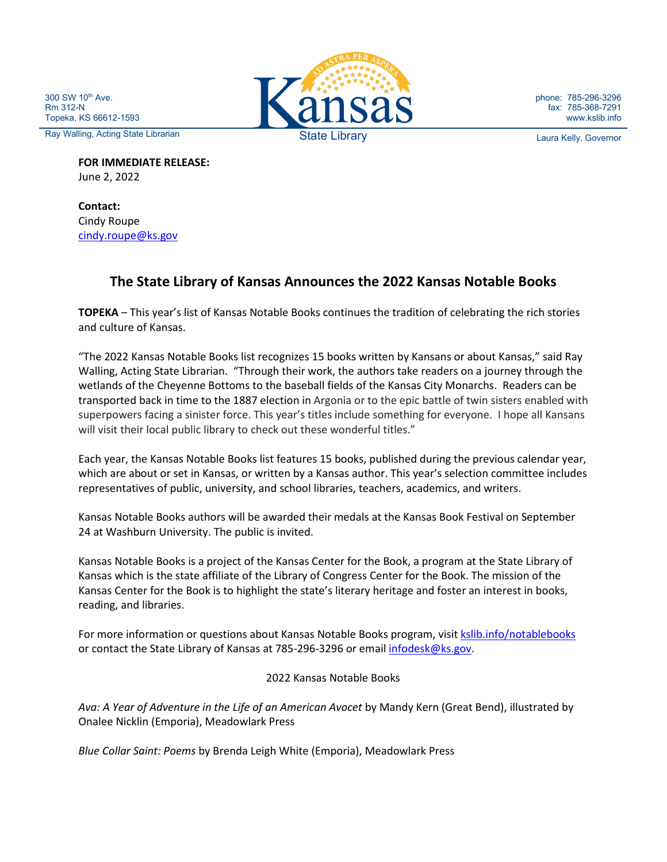300 SW 10<sup>th</sup> Ave. Rm 312-N Topeka, KS 66612-1593



**FOR IMMEDIATE RELEASE:** June 2, 2022

**Contact:** Cindy Roupe [cindy.roupe@ks.gov](mailto:cindy.roupe@ks.gov)

## **The State Library of Kansas Announces the 2022 Kansas Notable Books**

**TOPEKA** – This year's list of Kansas Notable Books continues the tradition of celebrating the rich stories and culture of Kansas.

"The 2022 Kansas Notable Books list recognizes 15 books written by Kansans or about Kansas," said Ray Walling, Acting State Librarian. "Through their work, the authors take readers on a journey through the wetlands of the Cheyenne Bottoms to the baseball fields of the Kansas City Monarchs. Readers can be transported back in time to the 1887 election in Argonia or to the epic battle of twin sisters enabled with superpowers facing a sinister force. This year's titles include something for everyone. I hope all Kansans will visit their local public library to check out these wonderful titles."

Each year, the Kansas Notable Books list features 15 books, published during the previous calendar year, which are about or set in Kansas, or written by a Kansas author. This year's selection committee includes representatives of public, university, and school libraries, teachers, academics, and writers.

Kansas Notable Books authors will be awarded their medals at the Kansas Book Festival on September 24 at Washburn University. The public is invited.

Kansas Notable Books is a project of the Kansas Center for the Book, a program at the State Library of Kansas which is the state affiliate of the Library of Congress Center for the Book. The mission of the Kansas Center for the Book is to highlight the state's literary heritage and foster an interest in books, reading, and libraries.

For more information or questions about Kansas Notable Books program, visit [kslib.info/notablebooks](http://kslib.info/notablebooks) or contact the State Library of Kansas at 785-296-3296 or email [infodesk@ks.gov.](mailto:infodesk@ks.gov)

## 2022 Kansas Notable Books

*Ava: A Year of Adventure in the Life of an American Avocet* by Mandy Kern (Great Bend), illustrated by Onalee Nicklin (Emporia), Meadowlark Press

*Blue Collar Saint: Poems* by Brenda Leigh White (Emporia), Meadowlark Press



phone: 785-296-3296 fax: 785-368-7291 www.kslib.info